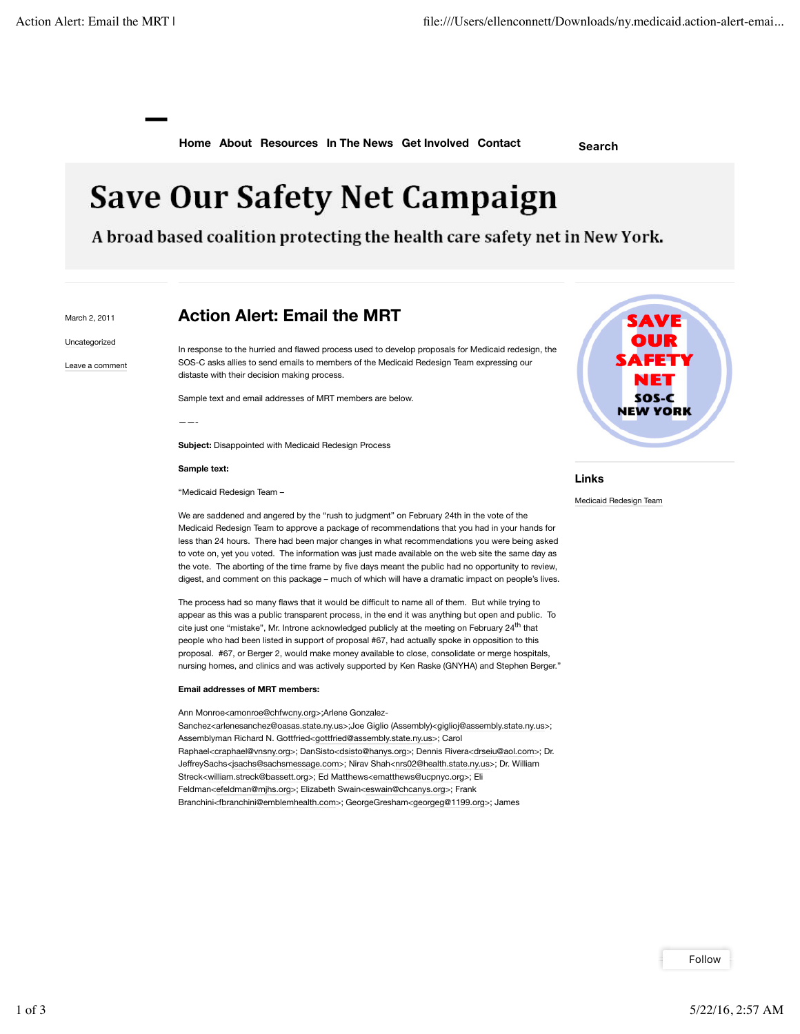**—**

**Home About Resources In The News Get Involved Contact Search**

## **Save Our Safety Net Campaign**

A broad based coalition protecting the health care safety net in New York.

March 2, 2011 Uncategorized

Leave a comment

## **Action Alert: Email the MRT**

In response to the hurried and flawed process used to develop proposals for Medicaid redesign, the SOS-C asks allies to send emails to members of the Medicaid Redesign Team expressing our distaste with their decision making process.

Sample text and email addresses of MRT members are below.

——-

**Subject:** Disappointed with Medicaid Redesign Process

## **Sample text:**

"Medicaid Redesign Team –

We are saddened and angered by the "rush to judgment" on February 24th in the vote of the Medicaid Redesign Team to approve a package of recommendations that you had in your hands for less than 24 hours. There had been major changes in what recommendations you were being asked to vote on, yet you voted. The information was just made available on the web site the same day as the vote. The aborting of the time frame by five days meant the public had no opportunity to review, digest, and comment on this package – much of which will have a dramatic impact on people's lives.

The process had so many flaws that it would be difficult to name all of them. But while trying to appear as this was a public transparent process, in the end it was anything but open and public. To cite just one "mistake", Mr. Introne acknowledged publicly at the meeting on February 24<sup>th</sup> that people who had been listed in support of proposal #67, had actually spoke in opposition to this proposal. #67, or Berger 2, would make money available to close, consolidate or merge hospitals, nursing homes, and clinics and was actively supported by Ken Raske (GNYHA) and Stephen Berger."

## **Email addresses of MRT members:**

Ann Monroe<amonroe@chfwcny.org>;Arlene Gonzalez-Sanchez<arlenesanchez@oasas.state.ny.us>;Joe Giglio (Assembly)<giglioj@assembly.state.ny.us>; Assemblyman Richard N. Gottfried<gottfried@assembly.state.ny.us>; Carol Raphael<craphael@vnsny.org>; DanSisto<dsisto@hanys.org>; Dennis Rivera<drseiu@aol.com>; Dr. JeffreySachs<jsachs@sachsmessage.com>; Nirav Shah<nrs02@health.state.ny.us>; Dr. William Streck<william.streck@bassett.org>; Ed Matthews<ematthews@ucpnyc.org>; Eli Feldman<efeldman@mjhs.org>; Elizabeth Swain<eswain@chcanys.org>; Frank Branchini<fbranchini@emblemhealth.com>; GeorgeGresham<georgeg@1199.org>; James

SAVE FETY ы SOS-C **NEW YORK** 

**Links**

Medicaid Redesign Team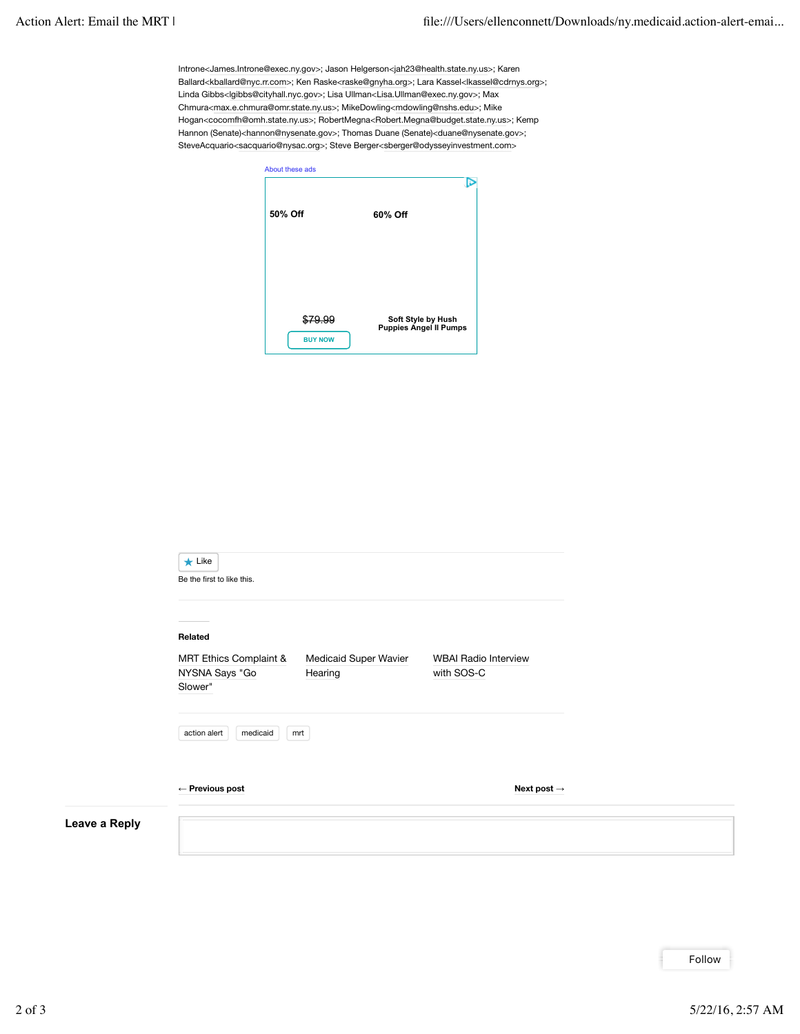Introne<James.Introne@exec.ny.gov>; Jason Helgerson<jah23@health.state.ny.us>; Karen Ballard<kballard@nyc.rr.com>; Ken Raske<raske@gnyha.org>; Lara Kassel<lkassel@cdrnys.org>; Linda Gibbs<lgibbs@cityhall.nyc.gov>; Lisa Ullman<Lisa.Ullman@exec.ny.gov>; Max Chmura<max.e.chmura@omr.state.ny.us>; MikeDowling<mdowling@nshs.edu>; Mike Hogan<cocomfh@omh.state.ny.us>; RobertMegna<Robert.Megna@budget.state.ny.us>; Kemp Hannon (Senate)<hannon@nysenate.gov>; Thomas Duane (Senate)<duane@nysenate.gov>; SteveAcquario<sacquario@nysac.org>; Steve Berger<sberger@odysseyinvestment.com>

| About these ads |                                                     |
|-----------------|-----------------------------------------------------|
| 50% Off         | 60% Off                                             |
|                 |                                                     |
| <b>BUY NOW</b>  | Soft Style by Hush<br><b>Puppies Angel II Pumps</b> |

|               | $\star$ Like<br>Be the first to like this.                                                                                                      |
|---------------|-------------------------------------------------------------------------------------------------------------------------------------------------|
|               | Related<br>MRT Ethics Complaint &<br>Medicaid Super Wavier<br><b>WBAI Radio Interview</b><br>NYSNA Says "Go<br>Hearing<br>with SOS-C<br>Slower" |
|               | medicaid<br>action alert<br>mrt                                                                                                                 |
|               | $\leftarrow$ Previous post<br>Next post $\rightarrow$                                                                                           |
| Leave a Reply |                                                                                                                                                 |